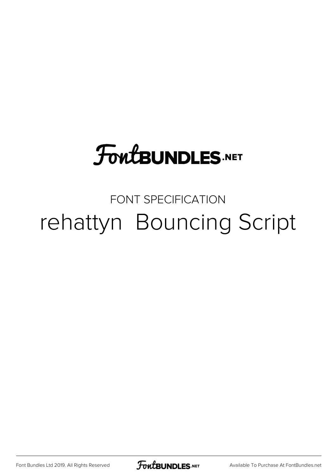## **FoutBUNDLES.NET**

## FONT SPECIFICATION rehattyn Bouncing Script

Font Bundles Ltd 2019. All Rights Reserved

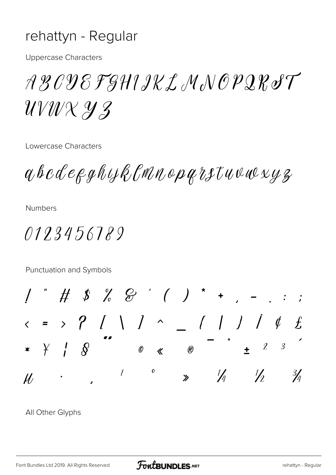## rehattyn - Regular

**Uppercase Characters** 

R B O D E F GH 1 I K L M N O P Q R S T UV W X Y Z

Lowercase Characters

aboderghyklmnoparstuwwyz

**Numbers** 

0123456789

Punctuation and Symbols

 $\int$  $Y$  /  $\mathcal{S}$  $\mathcal{L}$  $\overline{\mathcal{S}}$  $\mathscr{O}$   $\ll$  $\mathcal{R}$  $\boldsymbol{o}$  $\iota$  $\frac{1}{4}$  $\frac{1}{2}$  $\frac{3}{4}$  $\mathcal{U}$  $\gg$ 

All Other Glyphs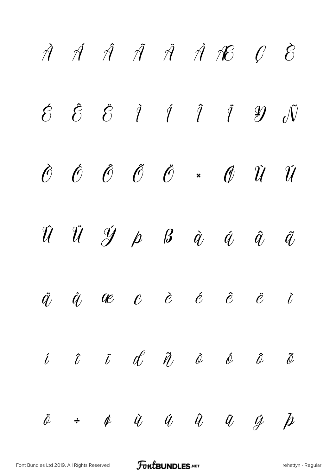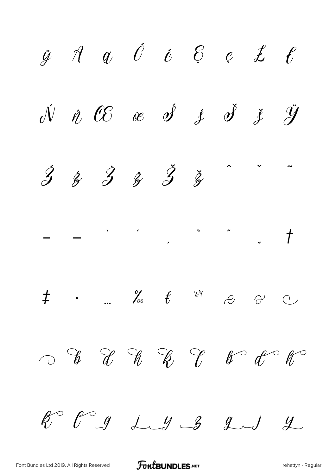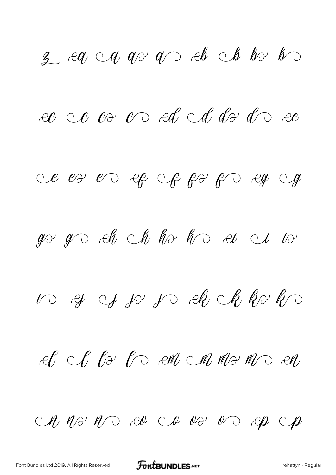